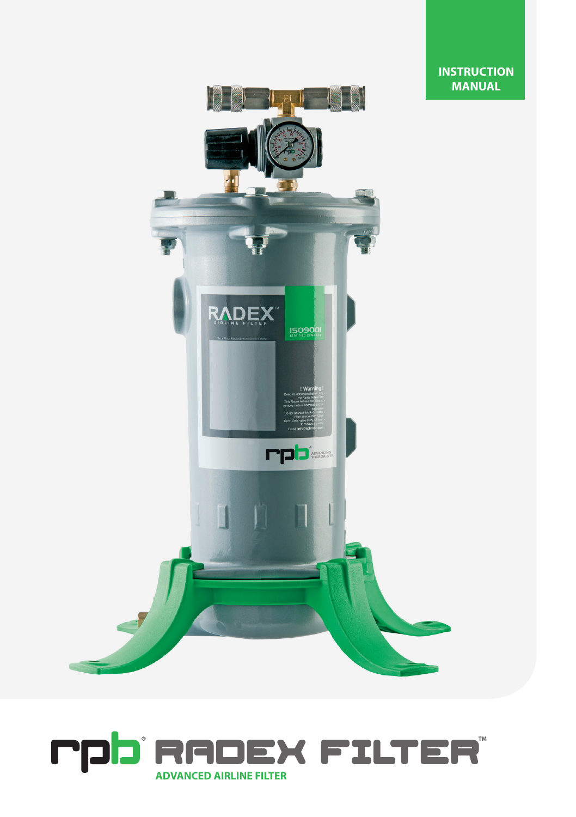